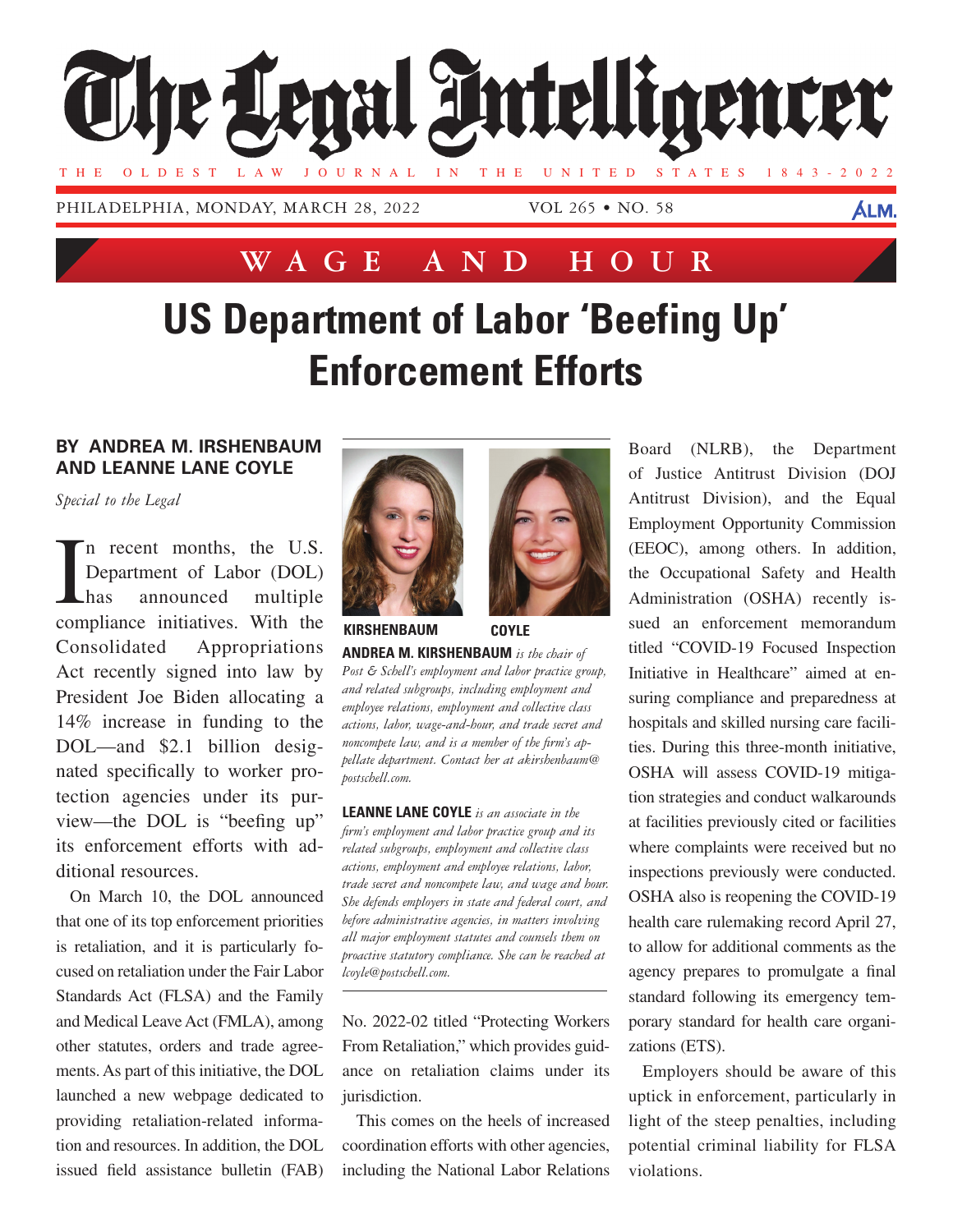

**Wage and Hour**

# **US Department of Labor 'Beefing Up' Enforcement Efforts**

#### **By Andrea M. irshenbaum AND Leanne Lane Coyle**

*Special to the Legal*

I n recent months, the U.S. Department of Labor (DOL) has announced multiple compliance initiatives. With the Consolidated Appropriations Act recently signed into law by President Joe Biden allocating a 14% increase in funding to the DOL—and \$2.1 billion designated specifically to worker protection agencies under its purview—the DOL is "beefing up" its enforcement efforts with additional resources.

On March 10, the DOL announced that one of its top enforcement priorities is retaliation, and it is particularly focused on retaliation under the Fair Labor Standards Act (FLSA) and the Family and Medical Leave Act (FMLA), among other statutes, orders and trade agreements. As part of this initiative, the DOL launched a new webpage dedicated to providing retaliation-related information and resources. In addition, the DOL issued field assistance bulletin (FAB)



**Andrea M. Kirshenbaum** *is the chair of Post & Schell's employment and labor practice group, and related subgroups, including employment and employee relations, employment and collective class actions, labor, wage-and-hour, and trade secret and noncompete law, and is a member of the firm's appellate department. Contact her at akirshenbaum@ postschell.com.* **Kirshenbaum Coyle**

**Leanne Lane Coyle** *is an associate in the firm's employment and labor practice group and its related subgroups, employment and collective class actions, employment and employee relations, labor, trade secret and noncompete law, and wage and hour. She defends employers in state and federal court, and before administrative agencies, in matters involving all major employment statutes and counsels them on proactive statutory compliance. She can be reached at lcoyle@postschell.com.*

No. 2022-02 titled "Protecting Workers From Retaliation," which provides guidance on retaliation claims under its jurisdiction.

This comes on the heels of increased coordination efforts with other agencies, including the National Labor Relations Board (NLRB), the Department of Justice Antitrust Division (DOJ Antitrust Division), and the Equal Employment Opportunity Commission (EEOC), among others. In addition, the Occupational Safety and Health Administration (OSHA) recently issued an enforcement memorandum titled "COVID-19 Focused Inspection Initiative in Healthcare" aimed at ensuring compliance and preparedness at hospitals and skilled nursing care facilities. During this three-month initiative, OSHA will assess COVID-19 mitigation strategies and conduct walkarounds at facilities previously cited or facilities where complaints were received but no inspections previously were conducted. OSHA also is reopening the COVID-19 health care rulemaking record April 27, to allow for additional comments as the agency prepares to promulgate a final standard following its emergency temporary standard for health care organizations (ETS).

Employers should be aware of this uptick in enforcement, particularly in light of the steep penalties, including potential criminal liability for FLSA violations.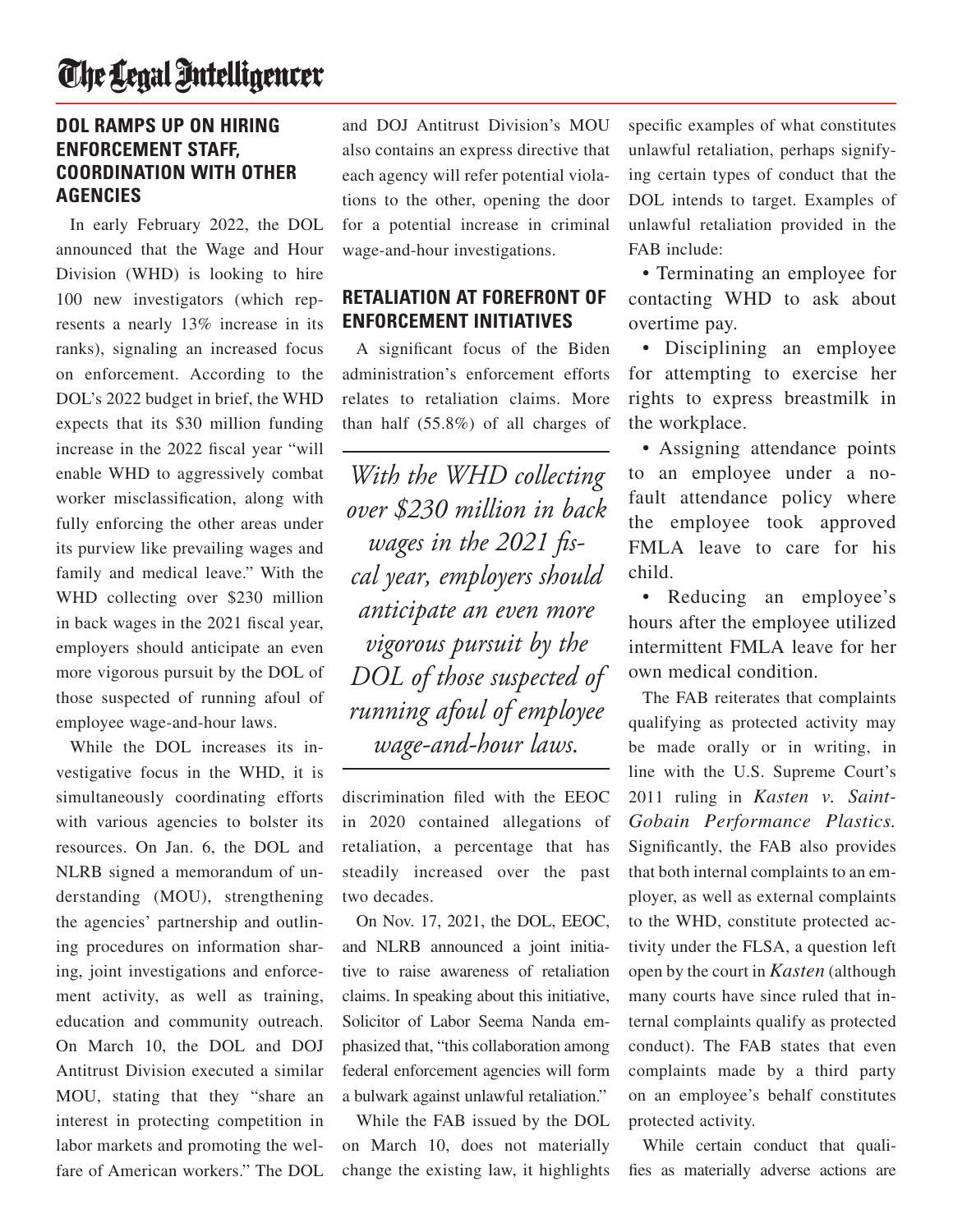### The Legal Intelligencer

#### **DOL Ramps Up on Hiring Enforcement Staff, Coordination With Other Agencies**

In early February 2022, the DOL announced that the Wage and Hour Division (WHD) is looking to hire 100 new investigators (which represents a nearly 13% increase in its ranks), signaling an increased focus on enforcement. According to the DOL's 2022 budget in brief, the WHD expects that its \$30 million funding increase in the 2022 fiscal year "will enable WHD to aggressively combat worker misclassification, along with fully enforcing the other areas under its purview like prevailing wages and family and medical leave." With the WHD collecting over \$230 million in back wages in the 2021 fiscal year, employers should anticipate an even more vigorous pursuit by the DOL of those suspected of running afoul of employee wage-and-hour laws.

While the DOL increases its investigative focus in the WHD, it is simultaneously coordinating efforts with various agencies to bolster its resources. On Jan. 6, the DOL and NLRB signed a memorandum of understanding (MOU), strengthening the agencies' partnership and outlining procedures on information sharing, joint investigations and enforcement activity, as well as training, education and community outreach. On March 10, the DOL and DOJ Antitrust Division executed a similar MOU, stating that they "share an interest in protecting competition in labor markets and promoting the welfare of American workers." The DOL

and DOJ Antitrust Division's MOU also contains an express directive that each agency will refer potential violations to the other, opening the door for a potential increase in criminal wage-and-hour investigations.

#### **Retaliation at Forefront of Enforcement Initiatives**

A significant focus of the Biden administration's enforcement efforts relates to retaliation claims. More than half (55.8%) of all charges of

*With the WHD collecting over \$230 million in back wages in the 2021 fiscal year, employers should anticipate an even more vigorous pursuit by the DOL of those suspected of running afoul of employee wage-and-hour laws.*

discrimination filed with the EEOC in 2020 contained allegations of retaliation, a percentage that has steadily increased over the past two decades.

On Nov. 17, 2021, the DOL, EEOC, and NLRB announced a joint initiative to raise awareness of retaliation claims. In speaking about this initiative, Solicitor of Labor Seema Nanda emphasized that, "this collaboration among federal enforcement agencies will form a bulwark against unlawful retaliation."

While the FAB issued by the DOL on March 10, does not materially change the existing law, it highlights

specific examples of what constitutes unlawful retaliation, perhaps signifying certain types of conduct that the DOL intends to target. Examples of unlawful retaliation provided in the FAB include:

• Terminating an employee for contacting WHD to ask about overtime pay.

• Disciplining an employee for attempting to exercise her rights to express breastmilk in the workplace.

• Assigning attendance points to an employee under a nofault attendance policy where the employee took approved FMLA leave to care for his child.

• Reducing an employee's hours after the employee utilized intermittent FMLA leave for her own medical condition.

The FAB reiterates that complaints qualifying as protected activity may be made orally or in writing, in line with the U.S. Supreme Court's 2011 ruling in *Kasten v. Saint-Gobain Performance Plastics.* Significantly, the FAB also provides that both internal complaints to an employer, as well as external complaints to the WHD, constitute protected activity under the FLSA, a question left open by the court in *Kasten* (although many courts have since ruled that internal complaints qualify as protected conduct). The FAB states that even complaints made by a third party on an employee's behalf constitutes protected activity.

While certain conduct that qualifies as materially adverse actions are